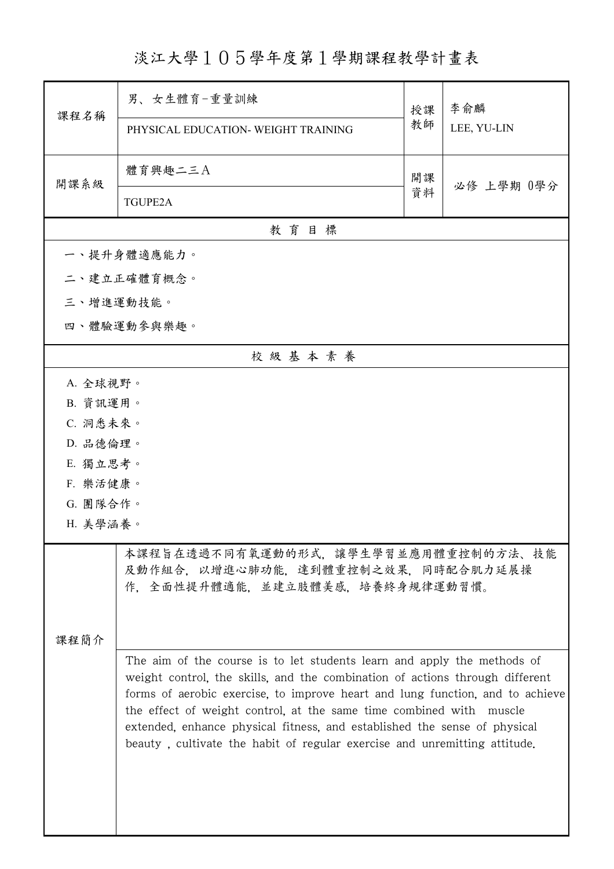淡江大學105學年度第1學期課程教學計畫表

| 課程名稱                                                                                                                                                                                                                                                                                                                                                                                                                                                                      | 男、女生體育-重量訓練<br>PHYSICAL EDUCATION- WEIGHT TRAINING | 授課<br>教師 | 李俞麟<br>LEE, YU-LIN |
|---------------------------------------------------------------------------------------------------------------------------------------------------------------------------------------------------------------------------------------------------------------------------------------------------------------------------------------------------------------------------------------------------------------------------------------------------------------------------|----------------------------------------------------|----------|--------------------|
| 開課系級                                                                                                                                                                                                                                                                                                                                                                                                                                                                      | 體育興趣二三A<br><b>TGUPE2A</b>                          | 開課<br>資料 | 必修 上學期 0學分         |
|                                                                                                                                                                                                                                                                                                                                                                                                                                                                           |                                                    |          |                    |
|                                                                                                                                                                                                                                                                                                                                                                                                                                                                           | 教育目標<br>一、提升身體適應能力。                                |          |                    |
|                                                                                                                                                                                                                                                                                                                                                                                                                                                                           | 二、建立正確體育概念。                                        |          |                    |
| 三、增進運動技能。                                                                                                                                                                                                                                                                                                                                                                                                                                                                 |                                                    |          |                    |
|                                                                                                                                                                                                                                                                                                                                                                                                                                                                           |                                                    |          |                    |
|                                                                                                                                                                                                                                                                                                                                                                                                                                                                           | 四、體驗運動參與樂趣。                                        |          |                    |
|                                                                                                                                                                                                                                                                                                                                                                                                                                                                           | 校級基本素養                                             |          |                    |
| A. 全球視野。                                                                                                                                                                                                                                                                                                                                                                                                                                                                  |                                                    |          |                    |
| B. 資訊運用。                                                                                                                                                                                                                                                                                                                                                                                                                                                                  |                                                    |          |                    |
| C. 洞悉未來。                                                                                                                                                                                                                                                                                                                                                                                                                                                                  |                                                    |          |                    |
| D. 品德倫理。                                                                                                                                                                                                                                                                                                                                                                                                                                                                  |                                                    |          |                    |
| E. 獨立思考。                                                                                                                                                                                                                                                                                                                                                                                                                                                                  |                                                    |          |                    |
| F. 樂活健康。                                                                                                                                                                                                                                                                                                                                                                                                                                                                  |                                                    |          |                    |
| G. 團隊合作。                                                                                                                                                                                                                                                                                                                                                                                                                                                                  |                                                    |          |                    |
| H. 美學涵養。                                                                                                                                                                                                                                                                                                                                                                                                                                                                  |                                                    |          |                    |
| 本課程旨在透過不同有氧運動的形式,讓學生學習並應用體重控制的方法、技能<br>及動作組合, 以增進心肺功能, 達到體重控制之效果, 同時配合肌力延展操<br>作,全面性提升體適能,並建立肢體美感,培養終身規律運動習慣。                                                                                                                                                                                                                                                                                                                                                             |                                                    |          |                    |
| 課程簡介                                                                                                                                                                                                                                                                                                                                                                                                                                                                      |                                                    |          |                    |
| The aim of the course is to let students learn and apply the methods of<br>weight control, the skills, and the combination of actions through different<br>forms of aerobic exercise, to improve heart and lung function, and to achieve<br>the effect of weight control, at the same time combined with muscle<br>extended, enhance physical fitness, and established the sense of physical<br>beauty, cultivate the habit of regular exercise and unremitting attitude. |                                                    |          |                    |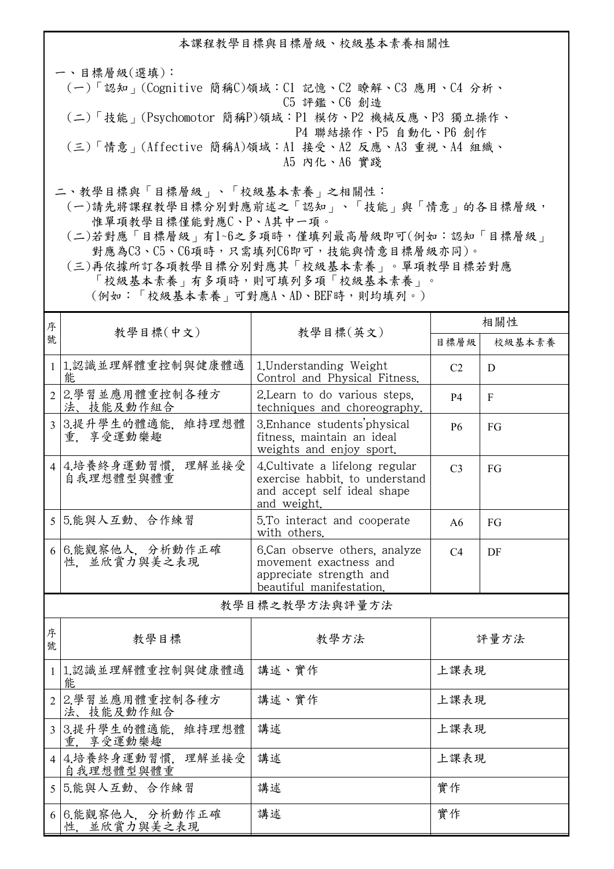本課程教學目標與目標層級、校級基本素養相關性

一、目標層級(選填): (一)「認知」(Cognitive 簡稱C)領域:C1 記憶、C2 瞭解、C3 應用、C4 分析、 C5 評鑑、C6 創造 (二)「技能」(Psychomotor 簡稱P)領域:P1 模仿、P2 機械反應、P3 獨立操作、 P4 聯結操作、P5 自動化、P6 創作 (三)「情意」(Affective 簡稱A)領域:A1 接受、A2 反應、A3 重視、A4 組織、 A5 內化、A6 實踐 二、教學目標與「目標層級」、「校級基本素養」之相關性:

 (一)請先將課程教學目標分別對應前述之「認知」、「技能」與「情意」的各目標層級, 惟單項教學目標僅能對應C、P、A其中一項。

 (二)若對應「目標層級」有1~6之多項時,僅填列最高層級即可(例如:認知「目標層級」 對應為C3、C5、C6項時,只需填列C6即可,技能與情意目標層級亦同)。

 (三)再依據所訂各項教學目標分別對應其「校級基本素養」。單項教學目標若對應 「校級基本素養」有多項時,則可填列多項「校級基本素養」。 (例如:「校級基本素養」可對應A、AD、BEF時,則均填列。)

| 序              |                                      |                                                                                                                 | 相關性            |              |  |  |
|----------------|--------------------------------------|-----------------------------------------------------------------------------------------------------------------|----------------|--------------|--|--|
| 號              | 教學目標(中文)                             | 教學目標(英文)                                                                                                        | 目標層級           | 校級基本素養       |  |  |
| $\mathbf{1}$   | 1.認識並理解體重控制與健康體適<br>能                | 1. Understanding Weight<br>Control and Physical Fitness.                                                        | C <sub>2</sub> | D            |  |  |
| $\overline{2}$ | 2.學習並應用體重控制各種方<br>法、技能及動作組合          | 2. Learn to do various steps.<br>techniques and choreography.                                                   | <b>P4</b>      | $\mathbf{F}$ |  |  |
| $\mathfrak{Z}$ | 3.提升學生的體適能,維持理想體<br>重. 享受運動樂趣        | 3. Enhance students physical<br>fitness, maintain an ideal<br>weights and enjoy sport.                          | <b>P6</b>      | FG           |  |  |
|                | 理解並接受<br>4 4. 培養終身運動習慣,<br>自我理想體型與體重 | 4. Cultivate a lifelong regular<br>exercise habbit, to understand<br>and accept self ideal shape<br>and weight. | C <sub>3</sub> | FG           |  |  |
|                | 5 5.能與人互動、合作練習                       | 5.To interact and cooperate<br>with others.                                                                     | A6             | FG           |  |  |
| 6              | 6.能觀察他人, 分析動作正確<br>性、並欣賞力與美之表現       | 6.Can observe others, analyze<br>movement exactness and<br>appreciate strength and<br>beautiful manifestation.  | C4             | DF           |  |  |
| 教學目標之教學方法與評量方法 |                                      |                                                                                                                 |                |              |  |  |
| 序號             | 教學目標                                 | 教學方法                                                                                                            |                | 評量方法         |  |  |
| $\mathbf{1}$   | 1.認識並理解體重控制與健康體適<br>能                | 講述、實作                                                                                                           | 上課表現           |              |  |  |
| $\overline{2}$ | 2.學習並應用體重控制各種方<br>法、技能及動作組合          | 講述、實作                                                                                                           | 上課表現           |              |  |  |
| $\overline{3}$ | 3.提升學生的體適能,<br>維持理想體<br>享受運動樂趣<br>重  | 講述                                                                                                              | 上課表現           |              |  |  |
|                | 4 4. 培養終身運動習慣,<br>理解並接受<br>自我理想體型與體重 | 講述                                                                                                              | 上課表現           |              |  |  |
| 5 <sup>5</sup> | 5.能與人互動、合作練習                         | 講述                                                                                                              | 實作             |              |  |  |
|                | 6 6.能觀察他人, 分析動作正確                    | 講述                                                                                                              | 實作             |              |  |  |

性,並欣賞力與美之表現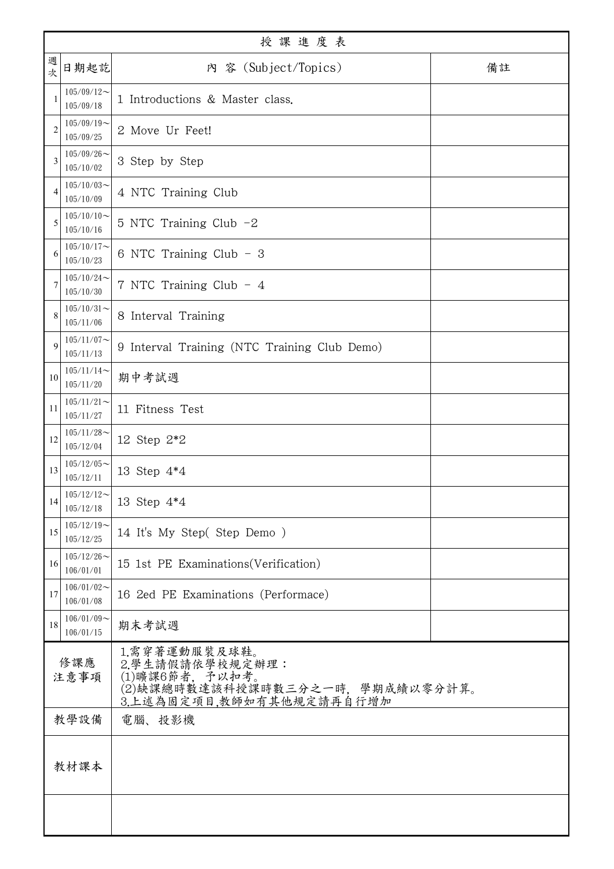| 授課進度表          |                            |                                                                                                                    |    |  |
|----------------|----------------------------|--------------------------------------------------------------------------------------------------------------------|----|--|
| 週<br>次         | 日期起訖                       | 內 容 (Subject/Topics)                                                                                               | 備註 |  |
| $\mathbf{1}$   | $105/09/12$ ~<br>105/09/18 | 1 Introductions & Master class.                                                                                    |    |  |
| $\overline{2}$ | $105/09/19$ ~<br>105/09/25 | 2 Move Ur Feet!                                                                                                    |    |  |
| 3              | $105/09/26$ ~<br>105/10/02 | 3 Step by Step                                                                                                     |    |  |
| 4              | $105/10/03$ ~<br>105/10/09 | 4 NTC Training Club                                                                                                |    |  |
| 5              | $105/10/10$ ~<br>105/10/16 | 5 NTC Training Club -2                                                                                             |    |  |
| 6              | $105/10/17$ ~<br>105/10/23 | 6 NTC Training Club - 3                                                                                            |    |  |
| 7              | $105/10/24$ ~<br>105/10/30 | 7 NTC Training Club - 4                                                                                            |    |  |
| 8              | $105/10/31$ ~<br>105/11/06 | 8 Interval Training                                                                                                |    |  |
| $\mathbf Q$    | $105/11/07$ ~<br>105/11/13 | 9 Interval Training (NTC Training Club Demo)                                                                       |    |  |
| 10             | $105/11/14$ ~<br>105/11/20 | 期中考試週                                                                                                              |    |  |
| 11             | $105/11/21$ ~<br>105/11/27 | 11 Fitness Test                                                                                                    |    |  |
| 12             | $105/11/28$ ~<br>105/12/04 | 12 Step 2*2                                                                                                        |    |  |
| 13             | $105/12/05$ ~<br>105/12/11 | 13 Step 4*4                                                                                                        |    |  |
| 14             | $105/12/12$ ~<br>105/12/18 | 13 Step 4*4                                                                                                        |    |  |
| 15             | $105/12/19$ ~<br>105/12/25 | 14 It's My Step(Step Demo)                                                                                         |    |  |
| 16             | $105/12/26$ ~<br>106/01/01 | 15 1st PE Examinations (Verification)                                                                              |    |  |
| 17             | $106/01/02$ ~<br>106/01/08 | 16 2ed PE Examinations (Performace)                                                                                |    |  |
| 18             | $106/01/09$ ~<br>106/01/15 | 期末考試週                                                                                                              |    |  |
| 修課應<br>注意事項    |                            | 1.需穿著運動服裝及球鞋。<br>2.學生請假請依學校規定辦理:<br>(1)曠課6節者, 予以扣考。<br>(2)缺課總時數達該科授課時數三分之一時,學期成績以零分計算。<br>3.上述為固定項目,教師如有其他規定請再自行增加 |    |  |
| 教學設備           |                            | 電腦、投影機                                                                                                             |    |  |
|                | 教材課本                       |                                                                                                                    |    |  |
|                |                            |                                                                                                                    |    |  |